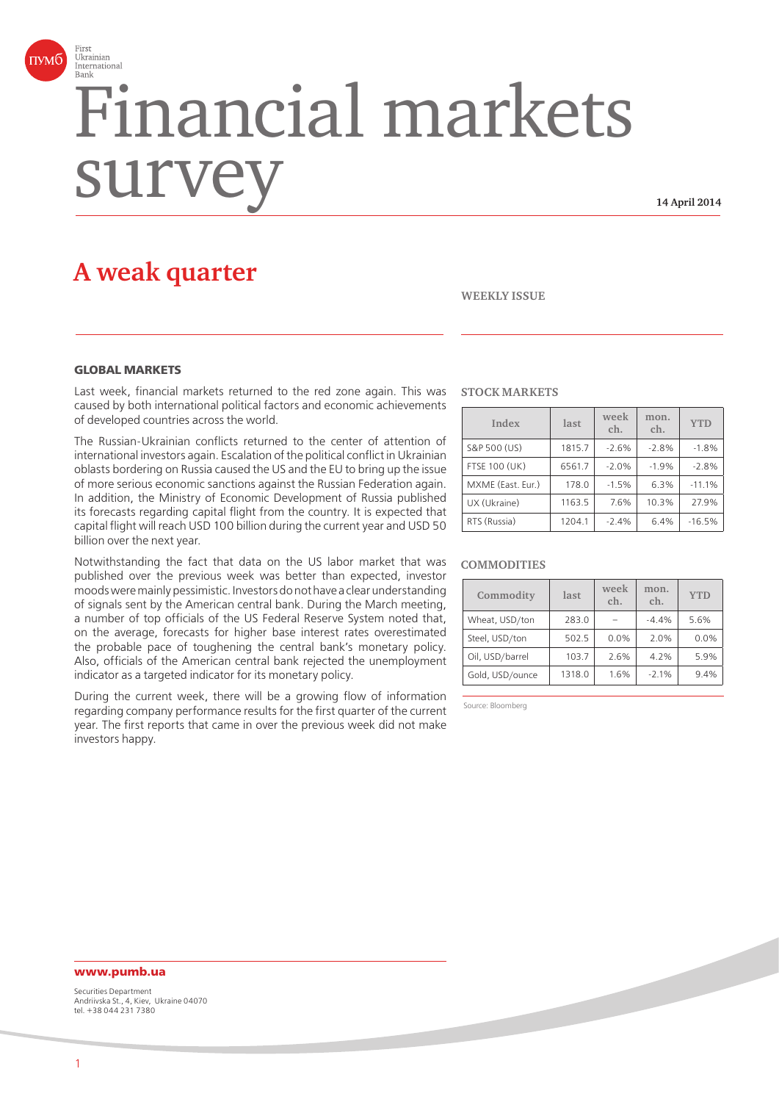

# Financial markets surv

**14 April 2014**

# **A weak quarter**

#### **WEEKLY ISSUE**

#### **GLOBAL MARKETS**

Last week, financial markets returned to the red zone again. This was caused by both international political factors and economic achievements of developed countries across the world.

The Russian-Ukrainian conflicts returned to the center of attention of international investors again. Escalation of the political conflict in Ukrainian oblasts bordering on Russia caused the US and the EU to bring up the issue of more serious economic sanctions against the Russian Federation again. In addition, the Ministry of Economic Development of Russia published its forecasts regarding capital flight from the country. It is expected that capital flight will reach USD 100 billion during the current year and USD 50 billion over the next year.

Notwithstanding the fact that data on the US labor market that was published over the previous week was better than expected, investor moods were mainly pessimistic. Investors do not have a clear understanding of signals sent by the American central bank. During the March meeting, a number of top officials of the US Federal Reserve System noted that, on the average, forecasts for higher base interest rates overestimated the probable pace of toughening the central bank's monetary policy. Also, officials of the American central bank rejected the unemployment indicator as a targeted indicator for its monetary policy.

During the current week, there will be a growing flow of information regarding company performance results for the first quarter of the current year. The first reports that came in over the previous week did not make investors happy.

#### **STOCK MARKETS**

| Index                | last   | week<br>ch. | mon.<br>ch. | <b>YTD</b> |
|----------------------|--------|-------------|-------------|------------|
| S&P 500 (US)         | 1815.7 | $-2.6%$     | $-2.8%$     | $-1.8%$    |
| <b>FTSE 100 (UK)</b> | 6561.7 | $-2.0%$     | $-1.9%$     | $-2.8%$    |
| MXME (East. Eur.)    | 178.0  | $-1.5%$     | 6.3%        | $-11.1%$   |
| UX (Ukraine)         | 1163.5 | 7.6%        | 10.3%       | 27.9%      |
| RTS (Russia)         | 1204.1 | $-2.4%$     | 6.4%        | $-16.5%$   |

#### **COMMODITIES**

| Commodity       | last   | week<br>ch. | mon.<br>ch. | <b>YTD</b> |
|-----------------|--------|-------------|-------------|------------|
| Wheat, USD/ton  | 283.0  |             | $-4.4%$     | 5.6%       |
| Steel, USD/ton  | 502.5  | 0.0%        | 2.0%        | 0.0%       |
| Oil, USD/barrel | 103.7  | 2.6%        | 4.2%        | 5.9%       |
| Gold, USD/ounce | 1318.0 | 1.6%        | $-2.1%$     | 9.4%       |

Source: Bloomberg

## **www.pumb.ua**

Securities Department Andriivska St., 4, Kiev, Ukraine 04070 tel. +38 044 231 7380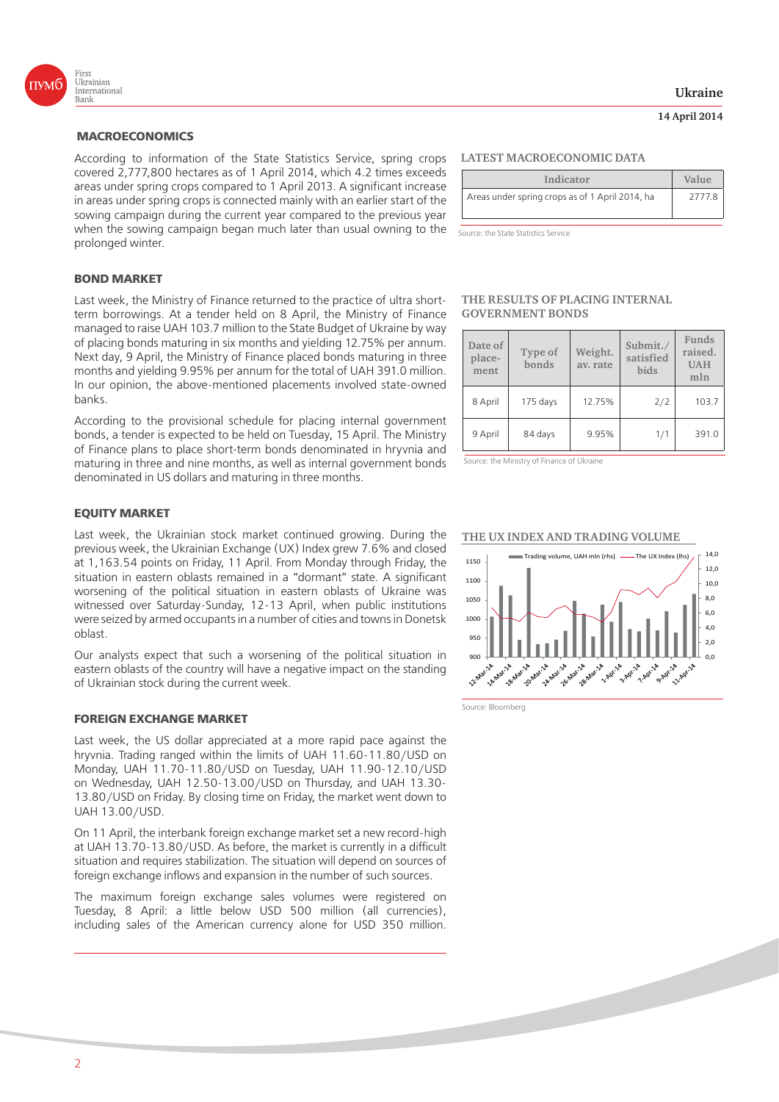

According to information of the State Statistics Service, spring crops covered 2,777,800 hectares as of 1 April 2014, which 4.2 times exceeds areas under spring crops compared to 1 April 2013. A significant increase in areas under spring crops is connected mainly with an earlier start of the sowing campaign during the current year compared to the previous year when the sowing campaign began much later than usual owning to the prolonged winter.

#### **BOND MARKET**

Last week, the Ministry of Finance returned to the practice of ultra shortterm borrowings. At a tender held on 8 April, the Ministry of Finance managed to raise UAH 103.7 million to the State Budget of Ukraine by way of placing bonds maturing in six months and yielding 12.75% per annum. Next day, 9 April, the Ministry of Finance placed bonds maturing in three months and yielding 9.95% per annum for the total of UAH 391.0 million. In our opinion, the above-mentioned placements involved state-owned banks.

According to the provisional schedule for placing internal government bonds, a tender is expected to be held on Tuesday, 15 April. The Ministry of Finance plans to place short-term bonds denominated in hryvnia and maturing in three and nine months, as well as internal government bonds denominated in US dollars and maturing in three months.

#### **EQUITY MARKET**

Last week, the Ukrainian stock market continued growing. During the previous week, the Ukrainian Exchange (UX) Index grew 7.6% and closed at 1,163.54 points on Friday, 11 April. From Monday through Friday, the situation in eastern oblasts remained in a "dormant" state. A significant worsening of the political situation in eastern oblasts of Ukraine was witnessed over Saturday-Sunday, 12-13 April, when public institutions were seized by armed occupants in a number of cities and towns in Donetsk oblast.

Our analysts expect that such a worsening of the political situation in eastern oblasts of the country will have a negative impact on the standing of Ukrainian stock during the current week.

#### **FOREIGN EXCHANGE MARKET**

Last week, the US dollar appreciated at a more rapid pace against the hryvnia. Trading ranged within the limits of UAH 11.60-11.80/USD on Monday, UAH 11.70-11.80/USD on Tuesday, UAH 11.90-12.10/USD on Wednesday, UAH 12.50-13.00/USD on Thursday, and UAH 13.30- 13.80/USD on Friday. By closing time on Friday, the market went down to UAH 13.00/USD.

On 11 April, the interbank foreign exchange market set a new record-high at UAH 13.70-13.80/USD. As before, the market is currently in a difficult situation and requires stabilization. The situation will depend on sources of foreign exchange inflows and expansion in the number of such sources.

The maximum foreign exchange sales volumes were registered on Tuesday, 8 April: a little below USD 500 million (all currencies), including sales of the American currency alone for USD 350 million.

#### **LATEST MACROECONOMIC DATA**

| Indicator                                       | Value  |
|-------------------------------------------------|--------|
| Areas under spring crops as of 1 April 2014, ha | 2777.8 |

Source: the State Statistics Service

#### **THE RESULTS OF PLACING INTERNAL GOVERNMENT BONDS**

| Date of<br>place-<br>ment | Type of<br>bonds | Weight.<br>av. rate | Submit./<br>satisfied<br>bids | Funds<br>raised.<br><b>UAH</b><br>mln |
|---------------------------|------------------|---------------------|-------------------------------|---------------------------------------|
| 8 April                   | 175 days         | 12.75%              | 2/2                           | 103.7                                 |
| 9 April                   | 84 days          | 9.95%               | 1/1                           | 391.0                                 |

Source: the Ministry of Finance of Ukraine

#### **THE UX INDEX AND TRADING VOLUME**



Source: Bloomberg

# **Ukraine**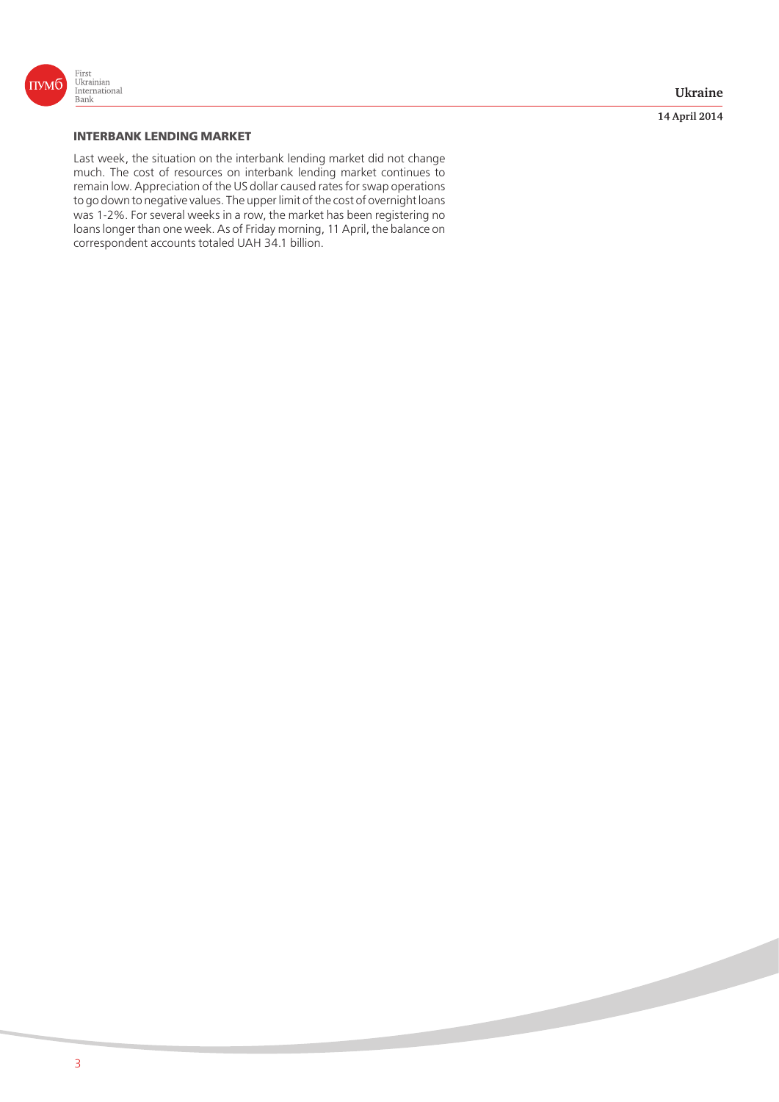

# **INTERBANK LENDING MARKET**

Last week, the situation on the interbank lending market did not change much. The cost of resources on interbank lending market continues to remain low. Appreciation of the US dollar caused rates for swap operations to go down to negative values. The upper limit of the cost of overnight loans was 1-2%. For several weeks in a row, the market has been registering no loans longer than one week. As of Friday morning, 11 April, the balance on correspondent accounts totaled UAH 34.1 billion.